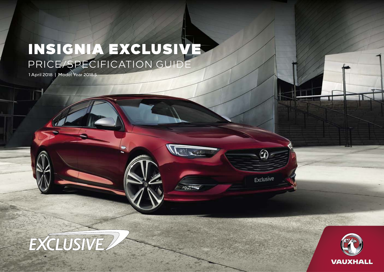# INSIGNIA EXCLUSIVE PRICE/SPECIFICATION GUIDE

 $\langle \hat{S}^2 \rangle$ 

 $\Omega$ 

Exclusive

1 April 2018 | Model Year 2018.5



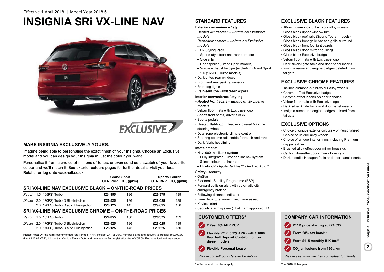# **INSIGNIA SRi VX-LINE NAV**





### **MAKE INSIGNIA EXCLUSIVELY YOURS.**

Imagine being able to personalise the exact finish of your Insignia. Choose an Exclusive model and you can design your Insignia in just the colour you want.

Personalise it from a choice of millions of tones, or even send us a swatch of your favourite colour and we'll match it. See exterior colours pages for further details, visit your local Retailer or log onto vauxhall.co.uk

|        |                                                       |         | <b>Grand Sport</b>             |         | <b>Sports Tourer</b>           |  |  |  |  |
|--------|-------------------------------------------------------|---------|--------------------------------|---------|--------------------------------|--|--|--|--|
|        |                                                       |         | OTR RRP CO <sub>2</sub> (g/km) |         | OTR RRP CO <sub>2</sub> (g/km) |  |  |  |  |
|        | SRI VX-LINE NAV EXCLUSIVE BLACK - ON-THE-ROAD PRICES  |         |                                |         |                                |  |  |  |  |
| Petrol | 1.5 (165PS) Turbo                                     | £24.855 | 136                            | £26,375 | 139                            |  |  |  |  |
| Diesel | 2.0 (170PS) Turbo D BlueInjection                     | £26,525 | 136                            | £28,025 | 139                            |  |  |  |  |
|        | 2.0 (170PS) Turbo D auto BlueInjection                | £28.125 | 145                            | £29.625 | 150                            |  |  |  |  |
|        | SRI VX-LINE NAV EXCLUSIVE CHROME - ON-THE-ROAD PRICES |         |                                |         |                                |  |  |  |  |
| Petrol | 1.5 (165PS) Turbo                                     | £24.855 | 136                            | £26,375 | 139                            |  |  |  |  |
| Diesel | 2.0 (170PS) Turbo D BlueInjection                     | £26,525 | 136                            | £28.025 | 139                            |  |  |  |  |
|        | 2.0 (170PS) Turbo D auto BlueInjection                | £28.125 | 145                            | £29.625 | 150                            |  |  |  |  |

Please note: On-the-road recommended retail prices (RRP) include VAT at 20%, number plates and delivery to Retailer of £700.00 (inc. £116.67 VAT), 12 months' Vehicle Excise Duty and new vehicle first registration fee of £55.00. Excludes fuel and insurance.

### **STANDARD FEATURES**

**Exterior convenience / styling:**

- *Heated windscreen unique on Exclusive models*
- *Rear-view camera unique on Exclusive models*
- VXR Styling Pack
- Sports-style front and rear bumpers
- Side sills
- Rear spoiler (Grand Sport models)
- Visible exhaust tailpipe (excluding Grand Sport 1.5 (165PS) Turbo models)
- Dark-tinted rear windows
- Front and rear parking sensors
- Front fog lights
- Rain-sensitive windscreen wipers

#### **Interior convenience / styling:**

- *Heated front seats unique on Exclusive models*
- Velour floor mats with Exclusive logo
- Sports front seats, driver's AGR
- Sports pedals
- Heated, flat-bottom, leather-covered VX-Line steering wheel
- Dual-zone electronic climate control
- Steering column adjustable for reach and rake
- Dark fabric headlining

#### **Infotainment:**

- Navi 900 IntelliLink system
- Fully integrated European sat nav system
- 8-inch colour touchscreen
- Bluetooth® / Apple CarPlay™ / Android Auto™

#### **Safety / security:**

- OnStar • Electronic Stability Programme (ESP)
- Forward collision alert with automatic city emergency braking
- Following distance indicator
- Lane departure warning with lane assist
- Keyless start
- Security alarm system (Thatcham approved, T1)

### **CUSTOMER OFFERS\***



- **Flexible PCP (5.9% APR) with £1000 Vauxhall Deposit Contribution on diesel models**  $\checkmark$
- **Flexible Personal Lease**

*Please consult your Retailer for details.*

\* = Terms and conditions apply.

### **EXCLUSIVE BLACK FEATURES**

- 18-inch diamond-cut bi-colour alloy wheels
- Gloss black upper window trim
- Gloss black roof rails (Sports Tourer models)
- Gloss black front grille bar and grille surround
- Gloss black front fog light bezels
- Gloss black door mirror housings
	- Gloss black Exclusive badge
- Velour floor mats with Exclusive logo
- Dark silver Agate facia and door panel inserts
- Insignia name and engine badges deleted from tailgate

#### **EXCLUSIVE CHROME FEATURES**

- 18-inch diamond-cut bi-colour alloy wheels
- Chrome-effect Exclusive badge
- Chrome-effect inserts on door handles
- Velour floor mats with Exclusive logo
- Dark silver Agate facia and door panel inserts
- Insignia name and engine badges deleted from tailgate

#### **EXCLUSIVE OPTIONS**

- Choice of unique exterior colours or Personalised
- Choice of unique alloy wheels
- Choice of unique interior trims including Premium nappa leather
- Brushed alloy-effect door mirror housings
- Carbon fibre-effect door mirror housings
- Dark metallic Hexagon facia and door panel inserts

**COMPANY CAR INFORMATION**

**P11D price starting at £24,595**

 **From £115 monthly BiK tax\*\* CO2 emissions from 136g/km**

### *Please see www.vauxhall.co.uk/fleet for details.*

**From 28% tax band\*\***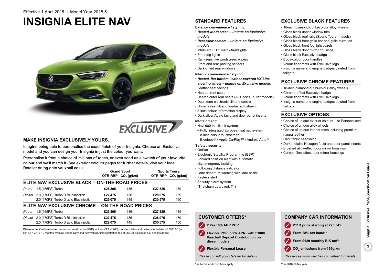# **INSIGNIA ELITE NAV**





### **MAKE INSIGNIA EXCLUSIVELY YOURS.**

Imagine being able to personalise the exact finish of your Insignia. Choose an Exclusive model and you can design your Insignia in just the colour you want.

Personalise it from a choice of millions of tones, or even send us a swatch of your favourite colour and we'll match it. See exterior colours pages for further details, visit your local Retailer or log onto vauxhall.co.uk

|               |                                                 |         | <b>Grand Sport</b>             |         | <b>Sports Tourer</b>           |
|---------------|-------------------------------------------------|---------|--------------------------------|---------|--------------------------------|
|               |                                                 |         | OTR RRP CO <sub>2</sub> (g/km) |         | OTR RRP CO <sub>2</sub> (g/km) |
|               | ELITE NAV EXCLUSIVE BLACK - ON-THE-ROAD PRICES  |         |                                |         |                                |
| Petrol        | 1.5 (165PS) Turbo                               | £25,805 | 136                            | £27,325 | 139                            |
| Diesel        | 2.0 (170PS) Turbo D BlueInjection               | £27,475 | 136                            | £28,975 | 139                            |
|               | 2.0 (170PS) Turbo D auto BlueInjection          | £29.075 | 145                            | £30,575 | 150                            |
|               | ELITE NAV EXCLUSIVE CHROME - ON-THE-ROAD PRICES |         |                                |         |                                |
| Petrol        | 1.5 (165PS) Turbo                               | £25,805 | 136                            | £27,325 | 139                            |
| <b>Diesel</b> | 2.0 (170PS) Turbo D BlueInjection               | £27,475 | 136                            | £28,975 | 139                            |
|               | 2.0 (170PS) Turbo D auto BlueInjection          | £29.075 | 145                            | £30,575 | 150                            |

Please note: On-the-road recommended retail prices (RRP) include VAT at 20%, number plates and delivery to Retailer of £700.00 (inc. £116.67 VAT), 12 months' Vehicle Excise Duty and new vehicle first registration fee of £55.00. Excludes fuel and insurance.

### **STANDARD FEATURES**

**Exterior convenience / styling:**

- *Heated windscreen unique on Exclusive models*
- *Rear-view camera unique on Exclusive models*
- IntelliLux LED® matrix headlights
- Front fog lights
- Rain-sensitive windscreen wipers
- Front and rear parking sensors
- Dark-tinted rear windows
- **Interior convenience / styling:**
- *Heated, flat-bottom, leather-covered VX-Line steering wheel – unique on Exclusive models*
- Leather seat facings
- Heated front seats
- Heated outer rear seats (All Sports Tourer models)
- Dual-zone electronic climate control
- Driver's seat tilt and lumbar adjustment
- 8-inch colour information display
- Dark silver Agate facia and door panel inserts

#### **Infotainment:**

- Navi 900 IntelliLink system
- Fully integrated European sat nav system
- 8-inch colour touchscreen
- Bluetooth® / Apple CarPlay™ / Android Auto™

#### **Safety / security:**

- OnStar
- Electronic Stability Programme (ESP)
- Forward collision alert with automatic
- city emergency braking
- Following distance indicator
- Lane departure warning with lane assist
- Keyless start
- Security alarm system
- (Thatcham approved, T1)



- **Vauxhall Deposit Contribution on diesel models**
- **Flexible Personal Lease**

*Please consult your Retailer for details.*

\* = Terms and conditions apply.

### **EXCLUSIVE BLACK FEATURES**

- 18-inch diamond-cut bi-colour alloy wheels
- Gloss black upper window trim
- Gloss black roof rails (Sports Tourer models)
- Gloss black front grille bar and grille surround
- Gloss black front fog light bezels
- Gloss black door mirror housings
	- Gloss black Exclusive badge
	- Body-colour door handles
	- Velour floor mats with Exclusive logo
	- Insignia name and engine badges deleted from tailgate

### **EXCLUSIVE CHROME FEATURES**

- 18-inch diamond-cut bi-colour alloy wheels
- Chrome-effect Exclusive badge
- Velour floor mats with Exclusive logo
- Insignia name and engine badges deleted from tailgate

### **EXCLUSIVE OPTIONS**

- Choice of unique exterior colours or Personalised
- Choice of unique alloy wheels
- Choice of unique interior trims including premium nappa leather
- Dark fabric headlining
- Dark metallic Hexagon facia and door panel inserts
- Brushed alloy-effect door mirror housings
- Carbon fibre-effect door mirror housings

#### *Please see www.vauxhall.co.uk/fleet for details.*

**From 28% tax band\*\***

**COMPANY CAR INFORMATION**

**P11D price starting at £25,545**

 **From £120 monthly BiK tax\*\* CO2 emissions from 136g/km**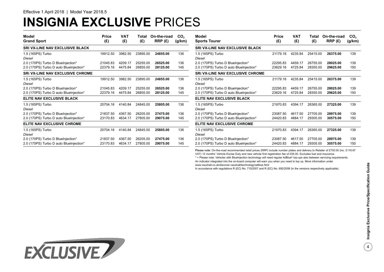# **INSIGNIA EXCLUSIVE** PRICES

| Model<br><b>Grand Sport</b>             | Price<br>(£) | VAT<br>(E) | Total<br>(E) | On-the-road<br>RRP(E) | CO <sub>2</sub><br>(g/km) | Model<br><b>Sports Tourer</b>           | Price<br>(£) | <b>VAT</b><br>(E) | Total<br>(E) | On-the-road<br>RRP(E) | CO <sub>2</sub><br>(g/km) |
|-----------------------------------------|--------------|------------|--------------|-----------------------|---------------------------|-----------------------------------------|--------------|-------------------|--------------|-----------------------|---------------------------|
| SRI VX-LINE NAV EXCLUSIVE BLACK         |              |            |              |                       |                           | <b>SRI VX-LINE NAV EXCLUSIVE BLACK</b>  |              |                   |              |                       |                           |
| 1.5 (165PS) Turbo<br>Diesel             | 19912.50     | 3982.50    | 23895.00     | 24855.00              | 136                       | 1.5 (165PS) Turbo<br>Diesel             | 21179.16     | 4235.84           | 25415.00     | 26375.00              | 139                       |
| 2.0 (170PS) Turbo D BlueInjection*      | 21045.83     | 4209.17    | 25255.00     | 26525.00              | 136                       | 2.0 (170PS) Turbo D BlueInjection*      | 22295.83     | 4459.17           | 26755.00     | 28025.00              | 139                       |
| 2.0 (170PS) Turbo D auto BlueInjection* | 22379.16     | 4475.84    | 26855.00     | 28125.00              | 145                       | 2.0 (170PS) Turbo D auto BlueInjection* | 23629.16     | 4725.84           | 28355.00     | 29625.00              | 150                       |
| <b>SRI VX-LINE NAV EXCLUSIVE CHROME</b> |              |            |              |                       |                           | <b>SRI VX-LINE NAV EXCLUSIVE CHROME</b> |              |                   |              |                       |                           |
| 1.5 (165PS) Turbo<br>Diesel             | 19912.50     | 3982.50    | 23895.00     | 24855.00              | 136                       | 1.5 (165PS) Turbo<br>Diesel             | 21179.16     | 4235.84           | 25415.00     | 26375.00              | 139                       |
| 2.0 (170PS) Turbo D BlueInjection*      | 21045.83     | 4209.17    | 25255.00     | 26525.00              | 136                       | 2.0 (170PS) Turbo D BlueInjection*      | 22295.83     | 4459.17           | 26755.00     | 28025.00              | 139                       |
| 2.0 (170PS) Turbo D auto BlueInjection* | 22379.16     | 4475.84    | 26855.00     | 28125.00              | 145                       | 2.0 (170PS) Turbo D auto BlueInjection* | 23629.16     | 4725.84           | 28355.00     | 29625.00              | 150                       |
| <b>ELITE NAV EXCLUSIVE BLACK</b>        |              |            |              |                       |                           | <b>ELITE NAV EXCLUSIVE BLACK</b>        |              |                   |              |                       |                           |
| 1.5 (165PS) Turbo<br>Diesel             | 20704.16     | 4140.84    | 24845.00     | 25805.00              | 136                       | 1.5 (165PS) Turbo<br>Diesel             | 21970.83     | 4394.17           | 26365.00     | 27325.00              | 139                       |
| 2.0 (170PS) Turbo D BlueInjection*      | 21837.50     | 4367.50    | 26205.00     | 27475.00              | 136                       | 2.0 (170PS) Turbo D BlueInjection*      | 23087.50     | 4617.50           | 27705.00     | 28975.00              | 139                       |
| 2.0 (170PS) Turbo D auto BlueInjection* | 23170.83     | 4634.17    | 27805.00     | 29075.00              | 145                       | 2.0 (170PS) Turbo D auto BlueInjection* | 24420.83     | 4884.17           | 29305.00     | 30575.00              | 150                       |
| <b>ELITE NAV EXCLUSIVE CHROME</b>       |              |            |              |                       |                           | <b>ELITE NAV EXCLUSIVE CHROME</b>       |              |                   |              |                       |                           |
| 1.5 (165PS) Turbo<br>Diesel             | 20704.16     | 4140.84    | 24845.00     | 25805.00              | 136                       | 1.5 (165PS) Turbo<br>Diesel             | 21970.83     | 4394.17           | 26365.00     | 27325.00              | 139                       |
| 2.0 (170PS) Turbo D BlueInjection*      | 21837.50     | 4367.50    | 26205.00     | 27475.00              | 136                       | 2.0 (170PS) Turbo D BlueInjection*      | 23087.50     | 4617.50           | 27705.00     | 28975.00              | 139                       |
| 2.0 (170PS) Turbo D auto BlueInjection* | 23170.83     | 4634.1     | 27805.00     | 29075.00              | 145                       | 2.0 (170PS) Turbo D auto BlueInjection* | 24420.83     | 4884.1            | 29305.00     | 30575.00              | 150                       |

Please note: On-the-road recommended retail prices (RRP) include number plates and delivery to Retailer of £700.00 (inc. £116.67

VAT) 12 months' Vehicle Excise Duty and new vehicle first registration fee of £55.00. Excludes fuel and insurance.

\* = Please note: Vehicles with BlueInjection technology will need regular AdBlue® top-ups also between servicing requirements. An indicator integrated into the on-board computer will warn you when you need to top up. More information under www.vauxhall.co.uk/discover-vauxhall/technology/adblue.html

In accordance with regulations R (EC) No. 715/2007 and R (EC) No. 692/2008 (in the versions respectively applicable).

 $\overline{4}$ 

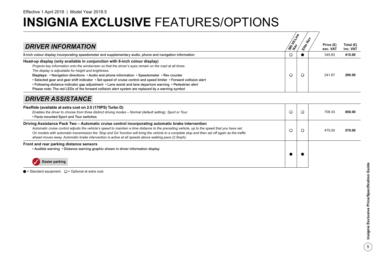| <b>DRIVER INFORMATION</b>                                                                                                                                                                                                                                                                                                                                                                                                                                                                                                                                                                                                                                                           | SRI LL-VIR |         | Price (£)<br>exc. VAT | Total $(E)$<br>inc. VAT |
|-------------------------------------------------------------------------------------------------------------------------------------------------------------------------------------------------------------------------------------------------------------------------------------------------------------------------------------------------------------------------------------------------------------------------------------------------------------------------------------------------------------------------------------------------------------------------------------------------------------------------------------------------------------------------------------|------------|---------|-----------------------|-------------------------|
| 8-inch colour display incorporating speedometer and supplementary audio, phone and navigation information                                                                                                                                                                                                                                                                                                                                                                                                                                                                                                                                                                           |            |         | 345.83                | 415.00                  |
| Head-up display (only available in conjunction with 8-inch colour display)<br>Projects key information onto the windscreen so that the driver's eyes remain on the road at all times.<br>The display is adjustable for height and brightness.<br>Displays: • Navigation directions • Audio and phone information • Speedometer • Rev counter<br>• Selected gear and gear shift indicator • Set speed of cruise control and speed limiter • Forward collision alert<br>• Following distance indicator gap adjustment • Lane assist and lane departure warning • Pedestrian alert<br>Please note: The red LEDs of the forward collision alert system are replaced by a warning symbol | Ő          | $\circ$ | 241.67                | 290.00                  |
| <b>DRIVER ASSISTANCE</b>                                                                                                                                                                                                                                                                                                                                                                                                                                                                                                                                                                                                                                                            |            |         |                       |                         |

| FlexRide (available at extra cost on 2.0 (170PS) Turbo D)<br>Enables the driver to choose from three distinct driving modes - Normal (default setting), Sport or Tour.<br>• Facia mounted Sport and Tour switches                                                                                                                                                                                                                                                                                             |  | 708.33<br>850.00 |  |
|---------------------------------------------------------------------------------------------------------------------------------------------------------------------------------------------------------------------------------------------------------------------------------------------------------------------------------------------------------------------------------------------------------------------------------------------------------------------------------------------------------------|--|------------------|--|
| Driving Assistance Pack Two – Automatic cruise control incorporating automatic brake intervention<br>Automatic cruise control adjusts the vehicle's speed to maintain a time distance to the preceding vehicle, up to the speed that you have set.<br>On models with automatic transmission the 'Stop and Go' function will bring the vehicle to a complete stop and then set off again as the traffic<br>ahead moves away. Automatic brake intervention is active at all speeds above walking pace (2.5mph). |  | 475.00<br>570.00 |  |
| Front and rear parking distance sensors<br>• Audible warning • Distance warning graphic shown in driver information display<br>Easier parking                                                                                                                                                                                                                                                                                                                                                                 |  |                  |  |

 $\bullet$  = Standard equipment.  $\bigcirc$  = Optional at extra cost.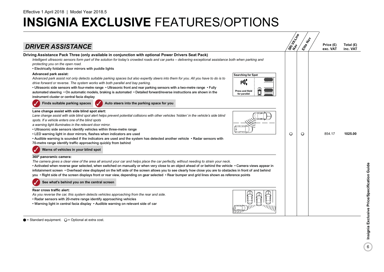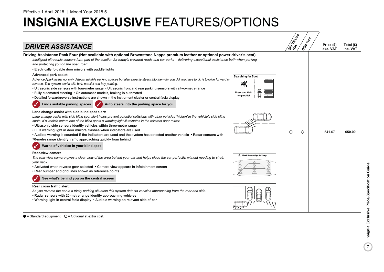

 $\bullet$  = Standard equipment.  $\circ$  = Optional at extra cost.

 $\mathbf{7}$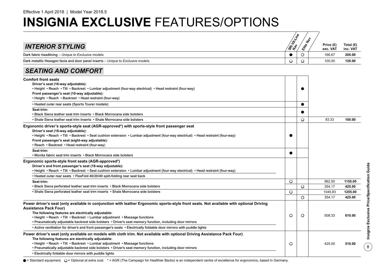|                                                                                                                                                                                                                                                                        | SRi H-Xine | $\textbf{r}^{\text{b}}$ | Price (£)        | Total (£)         |
|------------------------------------------------------------------------------------------------------------------------------------------------------------------------------------------------------------------------------------------------------------------------|------------|-------------------------|------------------|-------------------|
| <b>INTERIOR STYLING</b>                                                                                                                                                                                                                                                |            | <b>Kittle</b>           | exc. VAT         | inc. VAT          |
| Dark fabric headlining - Unique to Exclusive models.                                                                                                                                                                                                                   | $\bullet$  | $\circ$                 | 166.67           | 200.00            |
| Dark metallic Hexagon facia and door panel inserts - Unique to Exclusive models.                                                                                                                                                                                       | $\circ$    | $\circ$                 | 100.00           | 120.00            |
| <b>SEATING AND COMFORT</b>                                                                                                                                                                                                                                             |            |                         |                  |                   |
| <b>Comfort front seats</b>                                                                                                                                                                                                                                             |            |                         |                  |                   |
| Driver's seat (16-way adjustable):                                                                                                                                                                                                                                     |            |                         |                  |                   |
| · Height · Reach · Tilt · Backrest · Lumbar adjustment (four-way electrical) · Head restraint (four-way)                                                                                                                                                               |            |                         |                  |                   |
| Front passenger's seat (10-way adjustable):<br>• Height • Reach • Backrest • Head restraint (four-way)                                                                                                                                                                 |            |                         |                  |                   |
| • Heated outer rear seats (Sports Tourer models)                                                                                                                                                                                                                       |            | $\bullet$               |                  |                   |
| Seat trim:                                                                                                                                                                                                                                                             |            |                         |                  |                   |
| • Black Siena leather seat trim inserts • Black Morrocana side bolsters                                                                                                                                                                                                |            |                         |                  |                   |
| • Shale Siena leather seat trim inserts • Shale Morrocana side bolsters                                                                                                                                                                                                |            | $\circ$                 | 83.33            | 100.00            |
| Ergonomic driver's sports-style seat (AGR-approved*) with sports-style front passenger seat<br>Driver's seat (18-way adjustable):<br>· Height · Reach · Tilt · Backrest · Seat cushion extension · Lumbar adjustment (four-way electrical) · Head restraint (four-way) |            |                         |                  |                   |
| Front passenger's seat (eight-way adjustable):<br>• Reach • Backrest • Head restraint (four-way)                                                                                                                                                                       |            |                         |                  |                   |
| Seat trim:                                                                                                                                                                                                                                                             |            |                         |                  |                   |
| • Monita fabric seat trim inserts • Black Morrocana side bolsters                                                                                                                                                                                                      | ●          |                         |                  |                   |
| Ergonomic sports-style front seats (AGR-approved*)                                                                                                                                                                                                                     |            |                         |                  |                   |
| Driver's and front passenger's seat (18-way adjustable):                                                                                                                                                                                                               |            |                         |                  |                   |
| · Height · Reach · Tilt · Backrest · Seat cushion extension · Lumbar adjustment (four-way electrical) · Head restraint (four-way)                                                                                                                                      |            |                         |                  |                   |
| • Heated outer rear seats • FlexFold 40/20/40 split-folding rear seat back                                                                                                                                                                                             |            |                         |                  |                   |
| Seat trim:<br>• Black Siena perforated leather seat trim inserts • Black Morrocana side bolsters                                                                                                                                                                       | $\circ$    | $\circ$                 | 962.50<br>354.17 | 1155.00<br>425.00 |
| • Shale Siena perforated leather seat trim inserts • Shale Morrocana side bolsters                                                                                                                                                                                     | $\circ$    |                         | 1045.83          | 1255.00           |
|                                                                                                                                                                                                                                                                        |            | $\circ$                 | 354.17           | 425.00            |
| Power driver's seat (only available in conjunction with leather Ergonomic sports-style front seats. Not available with optional Driving                                                                                                                                |            |                         |                  |                   |
| <b>Assistance Pack Four)</b>                                                                                                                                                                                                                                           |            |                         |                  |                   |
| The following features are electrically adjustable:                                                                                                                                                                                                                    |            |                         |                  |                   |
| • Height • Reach • Tilt • Backrest • Lumbar adjustment • Massage functions                                                                                                                                                                                             | $\circ$    | $\circ$                 | 508.33           | 610.00            |
| • Pneumatically adjustable backrest side bolsters • Driver's seat memory function, including door mirrors                                                                                                                                                              |            |                         |                  |                   |
| . Active ventilation for driver's and front passenger's seats . Electrically foldable door mirrors with puddle lights                                                                                                                                                  |            |                         |                  |                   |
| Power driver's seat (only available on models with cloth trim. Not available with optional Driving Assistance Pack Four)                                                                                                                                               |            |                         |                  |                   |
| The following features are electrically adjustable:                                                                                                                                                                                                                    |            |                         |                  |                   |
| • Height • Reach • Tilt • Backrest • Lumbar adjustment • Massage functions                                                                                                                                                                                             | O          |                         | 425.00           | 510.00            |
| • Pneumatically adjustable backrest side bolsters • Driver's seat memory function, including door mirrors                                                                                                                                                              |            |                         |                  |                   |
| . Electrically foldable door mirrors with puddle lights                                                                                                                                                                                                                |            |                         |                  |                   |

O = Standard equipment. O = Optional at extra cost. \* = AGR (The Campaign for Healthier Backs) is an independent centre of excellence for ergonomics, based in Germany.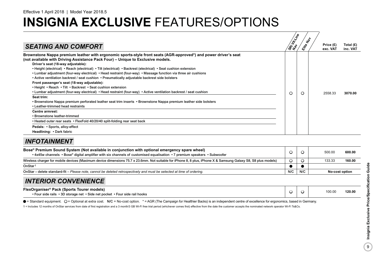|                                                                                                                                                                                                                                                                                                                                                                                                                                                                                                                                                                                                                                                                                                                                                                                                                                                                                                                                                                                                                                                                                                                                                                                                     | SRI H-Vine | $\star_{\!\!\phi}$ |                         |                         |
|-----------------------------------------------------------------------------------------------------------------------------------------------------------------------------------------------------------------------------------------------------------------------------------------------------------------------------------------------------------------------------------------------------------------------------------------------------------------------------------------------------------------------------------------------------------------------------------------------------------------------------------------------------------------------------------------------------------------------------------------------------------------------------------------------------------------------------------------------------------------------------------------------------------------------------------------------------------------------------------------------------------------------------------------------------------------------------------------------------------------------------------------------------------------------------------------------------|------------|--------------------|-------------------------|-------------------------|
| <b>SEATING AND COMFORT</b>                                                                                                                                                                                                                                                                                                                                                                                                                                                                                                                                                                                                                                                                                                                                                                                                                                                                                                                                                                                                                                                                                                                                                                          |            |                    | Price $(E)$<br>exc. VAT | Total $(E)$<br>inc. VAT |
| Brownstone Nappa premium leather with ergonomic sports-style front seats (AGR-approved*) and power driver's seat<br>(not available with Driving Assistance Pack Four) - Unique to Exclusive models.<br>Driver's seat (18-way adjustable):<br>• Height (electrical) • Reach (electrical) • Tilt (electrical) • Backrest (electrical) • Seat cushion extension<br>• Lumbar adjustment (four-way electrical) • Head restraint (four-way) • Massage function via three air cushions<br>• Active ventilation backrest / seat cushion • Pneumatically adjustable backrest side bolsters<br>Front passenger's seat (18-way adjustable):<br>• Height • Reach • Tilt • Backrest • Seat cushion extension<br>• Lumbar adjustment (four-way electrical) • Head restraint (four-way) • Active ventilation backrest / seat cushion<br>Seat trim:<br>• Brownstone Nappa premium perforated leather seat trim inserts • Brownstone Nappa premium leather side bolsters<br>• Leather-trimmed head restraints<br><b>Centre armrest:</b><br>• Brownstone leather-trimmed<br>. Heated outer rear seats . FlexFold 40/20/40 split-folding rear seat back<br>Pedals: • Sports, alloy-effect<br>Headlining: • Dark fabric | O          | O                  | 2558.33                 | 3070.00                 |

## *INFOTAINMENT*

| Bose® Premium Sound System (Not available in conjunction with optional emergency spare wheel)<br>• 4x45w channels • Bose® digital amplifier with six channels of customised equalisation • 7 premium speakers • Subwoofer |                              |  | 500.00<br>600.00 |
|---------------------------------------------------------------------------------------------------------------------------------------------------------------------------------------------------------------------------|------------------------------|--|------------------|
| Wireless charger for mobile devices (Maximum device dimensions 75.7 x 23.6mm. Not suitable for iPhone 8, 8 plus, iPhone X & Samsung Galaxy S8, S8 plus models)                                                            |                              |  | 160.00<br>133.33 |
| OnStar <sup>1</sup>                                                                                                                                                                                                       |                              |  |                  |
| OnStar – delete standard-fit – Please note, cannot be deleted retrospectively and must be selected at time of ordering.                                                                                                   | N/C<br>N/C<br>No-cost option |  |                  |
| <b>INTERIOR CONVENIENCE</b>                                                                                                                                                                                               |                              |  |                  |
| FlexOrganiser <sup>®</sup> Pack (Sports Tourer models)<br>• Four side rails • 3D storage net • Side net pocket • Four side rail hooks                                                                                     |                              |  | 120.00<br>100.00 |

● = Standard equipment. ○ = Optional at extra cost. N/C = No-cost option. \* = AGR (The Campaign for Healthier Backs) is an independent centre of excellence for ergonomics, based in Germany.

1 = Includes 12 months of OnStar services from date of first registration and a 3 month/3 GB Wi-Fi free trial period (whichever comes first) effective from the date the customer accepts the nominated network operator Wi-Fi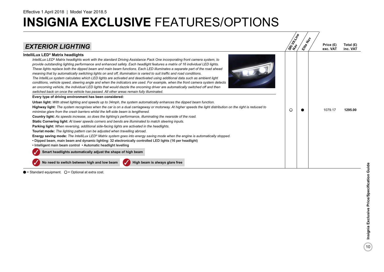| <b>EXTERIOR LIGHTING</b>                                                                                                                                                                                                                                                                                                                                                                                                                                                                                                                                                                                                                                                                                                                                                                                                                                                                                                                                                                                                                                                                                                                                                                                                                                                                                                                                                                                                                                                                                                                                                                                                                                                                                                                                                                                                                                                                                                                                                                                                                                                                                                                                                                                                                                                                                                                                                        | SRT LLLING | $\mathbf{r}_{\mathbf{p}}$<br>Eife | Price (£)<br>exc. VAT | Total (£)<br>inc. VAT |
|---------------------------------------------------------------------------------------------------------------------------------------------------------------------------------------------------------------------------------------------------------------------------------------------------------------------------------------------------------------------------------------------------------------------------------------------------------------------------------------------------------------------------------------------------------------------------------------------------------------------------------------------------------------------------------------------------------------------------------------------------------------------------------------------------------------------------------------------------------------------------------------------------------------------------------------------------------------------------------------------------------------------------------------------------------------------------------------------------------------------------------------------------------------------------------------------------------------------------------------------------------------------------------------------------------------------------------------------------------------------------------------------------------------------------------------------------------------------------------------------------------------------------------------------------------------------------------------------------------------------------------------------------------------------------------------------------------------------------------------------------------------------------------------------------------------------------------------------------------------------------------------------------------------------------------------------------------------------------------------------------------------------------------------------------------------------------------------------------------------------------------------------------------------------------------------------------------------------------------------------------------------------------------------------------------------------------------------------------------------------------------|------------|-----------------------------------|-----------------------|-----------------------|
| IntelliLux LED <sup>®</sup> Matrix headlights<br>IntelliLux LED® Matrix headlights work with the standard Driving Assistance Pack One incorporating front camera system, to<br>provide outstanding lighting performance and enhanced safety. Each headlight features a matrix of 16 individual LED lights.<br>These lights replace both the dipped beam and main beam functions. Each LED illuminates a separate part of the road ahead<br>meaning that by automatically switching lights on and off, illumination is varied to suit traffic and road conditions.<br>The IntelliLux system calculates which LED lights are activated and deactivated using additional data such as ambient light<br>conditions, vehicle speed, steering angle and when the indicators are used. For example, when the front camera system detects<br>an oncoming vehicle, the individual LED lights that would dazzle the oncoming driver are automatically switched off and then<br>switched back on once the vehicle has passed. All other areas remain fully illuminated.<br>Every type of driving environment has been considered:<br><b>Urban light:</b> With street lighting and speeds up to 34mph, the system automatically enhances the dipped beam function.<br>Highway light: The system recognises when the car is on a dual carriageway or motorway. At higher speeds the light distribution on the right is reduced to<br>minimise glare from the crash barriers whilst the left-side beam is lengthened.<br>Country light: As speeds increase, so does the lighting's performance, illuminating the nearside of the road.<br>Static Cornering light: At lower speeds corners and bends are illuminated to match steering inputs.<br>Parking light: When reversing, additional side-facing lights are activated in the headlights.<br>Tourist mode: The lighting pattern can be adjusted when travelling abroad.<br>Energy saving mode: The IntelliLux LED® Matrix system goes into energy saving mode when the engine is automatically stopped.<br>. Dipped beam, main beam and dynamic lighting: 32 electronically controlled LED lights (16 per headlight)<br>• Intelligent main beam control • Automatic headlight levelling<br>Smart headlights automatically adjust the shape of high beam<br>No need to switch between high and low beam<br>High beam is always glare free | O          |                                   | 1079.17               | 1295.00               |

 $\bullet$  = Standard equipment.  $\bigcirc$  = Optional at extra cost.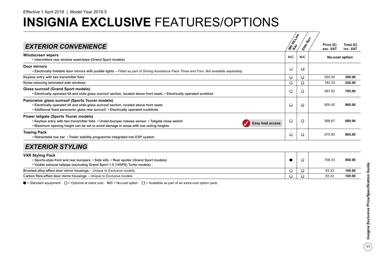|                                                                                                                                                                                                                                                              |           | $\star_{\!\!\phi}$ |                       |                         |
|--------------------------------------------------------------------------------------------------------------------------------------------------------------------------------------------------------------------------------------------------------------|-----------|--------------------|-----------------------|-------------------------|
| <b>EXTERIOR CONVENIENCE</b>                                                                                                                                                                                                                                  | SRI LLINE | Elite C            | Price (£)<br>exc. VAT | Total $(E)$<br>inc. VAT |
| <b>Windscreen wipers</b><br>• Intermittent rear window wash/wipe (Grand Sport models)                                                                                                                                                                        | N/C       | N/C                |                       | No-cost option          |
| <b>Door mirrors</b><br>• Electrically foldable door mirrors with puddle lights – Fitted as part of Driving Assistance Pack Three and Four. Not available separately.                                                                                         | □         | □                  |                       |                         |
| Keyless entry with two transmitter fobs                                                                                                                                                                                                                      | O         | $\circ$            | 250.00                | 300.00                  |
| Noise-reducing laminated side windows                                                                                                                                                                                                                        | O         | $\circ$            | 183.33                | 220.00                  |
| <b>Glass sunroof (Grand Sport models)</b><br>• Electrically operated tilt and slide glass sunroof section, located above front seats • Electrically operated sunblind                                                                                        | O         | $\circ$            | 587.50                | 705.00                  |
| Panoramic glass sunroof (Sports Tourer models)<br>• Electrically operated tilt and slide glass sunroof section, located above front seats<br>• Additional fixed panoramic glass rear sunroof • Electrically operated sunblinds                               | O         | $\circ$            | 800.00                | 960.00                  |
| <b>Power tailgate (Sports Tourer models)</b><br>• Keyless entry with two transmitter fobs • Under-bumper release sensor • Tailgate close switch<br>Easy load access<br>. Maximum opening height can be set to avoid damage in areas with low ceiling heights | O         | $\circ$            | 566.67                | 680.00                  |
| <b>Towing Pack</b><br>• Retractable tow bar • Trailer stability programme integrated into ESP system                                                                                                                                                         | O         | O                  | 570.83                | 685.00                  |
| <b>EXTERIOR STYLING</b>                                                                                                                                                                                                                                      |           |                    |                       |                         |
| <b>VXR Styling Pack</b><br>• Sports-style front and rear bumpers • Side sills • Rear spoiler (Grand Sport models)<br>• Visible exhaust tailpipe (excluding Grand Sport 1.5 (165PS) Turbo models)                                                             |           | $\circ$            | 708.33                | 850.00                  |
| Brushed alloy-effect door mirror housings - Unique to Exclusive models.                                                                                                                                                                                      | O         | $\circ$            | 83.33                 | 100.00                  |
| Carbon fibre-effect door mirror housings - Unique to Exclusive models.                                                                                                                                                                                       | O         | $\circ$            | 83.33                 | 100.00                  |

 $\bullet$  = Standard equipment.  $\bigcirc$  = Optional at extra cost.  $N/C$  = No-cost option.  $\square$  = Available as part of an extra-cost option pack.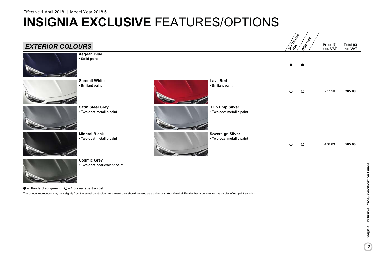# **INSIGNIA EXCLUSIVE FEATURES/OPTIONS**

|                                                                                                              | SREAT LINE | Elite Nap |                       |                       |
|--------------------------------------------------------------------------------------------------------------|------------|-----------|-----------------------|-----------------------|
| <b>EXTERIOR COLOURS</b>                                                                                      |            |           | Price (£)<br>exc. VAT | Total (£)<br>inc. VAT |
| <b>Aegean Blue</b><br>· Solid paint                                                                          |            |           |                       |                       |
| <b>Summit White</b><br><b>Lava Red</b><br>• Brilliant paint<br>• Brilliant paint                             | $\bigcirc$ | $\circ$   | 237.50                | 285.00                |
| <b>Satin Steel Grey</b><br><b>Flip Chip Silver</b><br>• Two-coat metallic paint<br>• Two-coat metallic paint |            |           |                       |                       |
| <b>Mineral Black</b><br><b>Sovereign Silver</b><br>• Two-coat metallic paint<br>• Two-coat metallic paint    | $\bigcirc$ | $\circ$   | 470.83                | 565.00                |
| <b>Cosmic Grey</b><br>• Two-coat pearlescent paint                                                           |            |           |                       |                       |

 $\bullet$  = Standard equipment.  $\circ$  = Optional at extra cost.

The colours reproduced may vary slightly from the actual paint colour. As a result they should be used as a guide only. Your Vauxhall Retailer has a comprehensive display of our paint samples.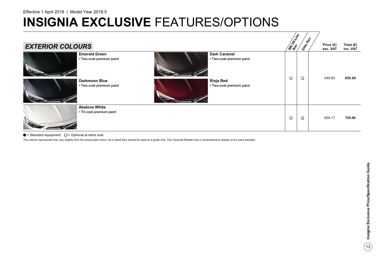| <b>EXTERIOR COLOURS</b>                                                                             | <b>SRIVER</b> | $\boldsymbol{\dot{z}}$<br>Eife | Price (£)<br>exc. VAT | Total (£)<br>inc. VAT |
|-----------------------------------------------------------------------------------------------------|---------------|--------------------------------|-----------------------|-----------------------|
| <b>Dark Caramel</b><br><b>Emerald Green</b><br>• Two-coat premium paint<br>• Two-coat premium paint | $\circ$       | $\circ$                        | 545.83                | 655.00                |
| <b>Darkmoon Blue</b><br><b>Rioja Red</b><br>• Two-coat premium paint<br>• Two-coat premium paint    |               |                                |                       |                       |
| <b>Abalone White</b><br>• Tri-coat premium paint                                                    | $\circ$       | $\circ$                        | 604.17                | 725.00                |

#### $\bullet$  = Standard equipment.  $\bigcirc$  = Optional at extra cost.

The colours reproduced may vary slightly from the actual paint colour. As a result they should be used as a guide only. Your Vauxhall Retailer has a comprehensive display of our paint samples.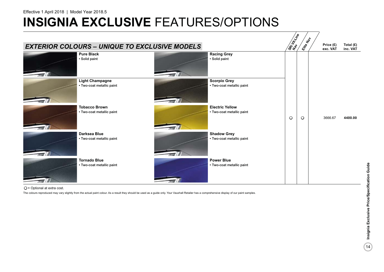# **INSIGNIA EXCLUSIVE FEATURES/OPTIONS**



O = Optional at extra cost.

The colours reproduced may vary slightly from the actual paint colour. As a result they should be used as a guide only. Your Vauxhall Retailer has a comprehensive display of our paint samples.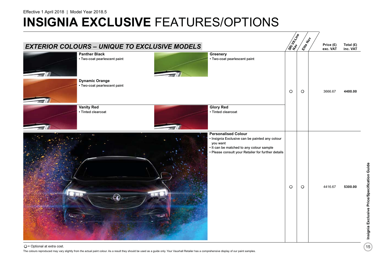# **INSIGNIA EXCLUSIVE FEATURES/OPTIONS**



 $O =$  Optional at extra cost. The colours reproduced may vary slightly from the actual paint colour. As a result they should be used as a guide only. Your Vauxhall Retailer has a comprehensive display of our paint samples.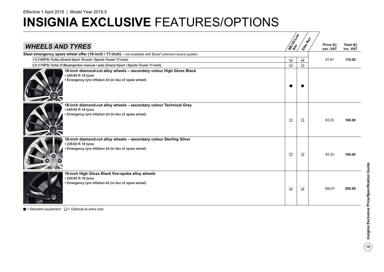# **INSIGNIA EXCLUSIVE FEATURES/OPTIONS**

|                                                                                                                                                        |           | $\textbf{r}_{\text{c}}$ |                       |                         |
|--------------------------------------------------------------------------------------------------------------------------------------------------------|-----------|-------------------------|-----------------------|-------------------------|
| <b>WHEELS AND TYRES</b>                                                                                                                                | SREVENIES | Elite                   | Price (£)<br>exc. VAT | Total $(E)$<br>inc. VAT |
| Steel emergency spare wheel offer (16-inch / 17-inch) - not available with Bose® premium sound system.                                                 |           |                         |                       |                         |
| 1.5 (165PS) Turbo (Grand Sport 16-inch / Sports Tourer 17-inch)                                                                                        | $\circ$   | $\circ$                 | 91.67                 | 110.00                  |
| 2.0 (170PS) Turbo D Bluelnjection manual / auto (Grand Sport / Sports Tourer 17-inch)                                                                  | $\circ$   | $\circ$                 |                       |                         |
| 18-inch diamond-cut alloy wheels - secondary colour High Gloss Black<br>• 245/45 R 18 tyres<br>• Emergency tyre inflation kit (in lieu of spare wheel) |           |                         |                       |                         |
| 18-inch diamond-cut alloy wheels – secondary colour Technical Grey<br>• 245/45 R 18 tyres<br>• Emergency tyre inflation kit (in lieu of spare wheel)   | $\circ$   | $\circ$                 | 83.33                 | 100.00                  |
| 18-inch diamond-cut alloy wheels - secondary colour Sterling Silver<br>235/50 R 18 tyres<br>Emergency tyre inflation kit (in lieu of spare wheel)      | $\circ$   | $\circ$                 | 83.33                 | 100.00                  |
| 18-inch High Gloss Black five-spoke alloy wheels<br>• 245/45 R 18 tyres<br>· Emergency tyre inflation kit (in lieu of spare wheel)                     | $\circ$   | $\circ$                 | 166.67                | 200.00                  |

 $\bullet$  = Standard equipment.  $\bigcirc$  = Optional at extra cost.

 $\frac{1}{2}$  Insignia Exclusive Price/Specification Guide 16**Insignia Exclusive Price/Specification Guide**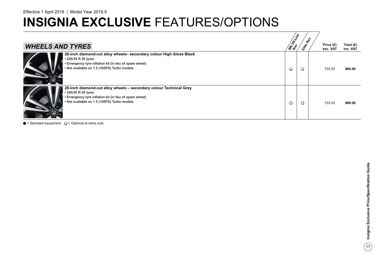# **INSIGNIA EXCLUSIVE FEATURES/OPTIONS**

|                                                                                                                                                                                                      |               | $\boldsymbol{\xi}^{\boldsymbol{\phi}}$ |                       |                         |
|------------------------------------------------------------------------------------------------------------------------------------------------------------------------------------------------------|---------------|----------------------------------------|-----------------------|-------------------------|
| <b>WHEELS AND TYRES</b>                                                                                                                                                                              | <b>SRIVER</b> | ENFER                                  | Price (£)<br>exc. VAT | Total $(E)$<br>inc. VAT |
| 20-inch diamond-cut alloy wheels- secondary colour High Gloss Black<br>• 245/35 R 20 tyres<br>• Emergency tyre inflation kit (in lieu of spare wheel)<br>• Not available on 1.5 (165PS) Turbo models | $\circ$       | $\circ$                                | 733.33                | 880.00                  |
| 20-inch diamond-cut alloy wheels – secondary colour Technical Grey<br>• 245/35 R 20 tyres<br>• Emergency tyre inflation kit (in lieu of spare wheel)<br>• Not available on 1.5 (165PS) Turbo models  | $\circ$       | $\circ$                                | 733.33                | 880.00                  |

 $\bullet$  = Standard equipment.  $\bigcirc$  = Optional at extra cost.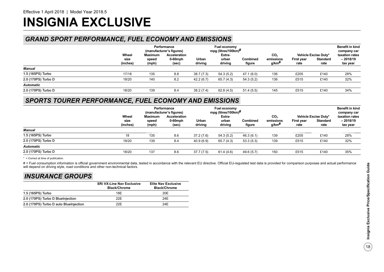# **INSIGNIA EXCLUSIVE**

## *GRAND SPORT PERFORMANCE, FUEL ECONOMY AND EMISSIONS*

|                     |                           | Performance<br>(manufacturer's figures) |                                     | Fuel economy<br>mpg (litres/100km) <sup>#</sup> |                            |                           |                                       |                    |                                          | <b>Benefit in kind</b><br>company car    |
|---------------------|---------------------------|-----------------------------------------|-------------------------------------|-------------------------------------------------|----------------------------|---------------------------|---------------------------------------|--------------------|------------------------------------------|------------------------------------------|
|                     | Wheel<br>size<br>(inches) | Maximum<br>speed<br>(mph)               | Acceleration<br>$0-60$ mph<br>(sec) | Urban<br>driving                                | Extra-<br>urban<br>driving | <b>Combined</b><br>figure | CO <sub>2</sub><br>emissions<br>g/km# | First year<br>rate | Vehicle Excise Duty*<br>Standard<br>rate | taxation rates<br>$-2018/19$<br>tax year |
| Manual              |                           |                                         |                                     |                                                 |                            |                           |                                       |                    |                                          |                                          |
| 1.5 (165PS) Turbo   | 17/18                     | 135                                     | 8.8                                 | 38.7(7.3)                                       | 54.3(5.2)                  | 47.1 (6.0)                | 136                                   | £205               | £140                                     | 28%                                      |
| 2.0 (170PS) Turbo D | 18/20                     | 140                                     | 8.2                                 | 42.2(6.7)                                       | 65.7(4.3)                  | 54.3 (5.2)                | 136                                   | £515               | £140                                     | 32%                                      |
| <b>Automatic</b>    |                           |                                         |                                     |                                                 |                            |                           |                                       |                    |                                          |                                          |
| 2.0 (170PS) Turbo D | 18/20                     | 139                                     | 8.4                                 | 38.2(7.4)                                       | 62.8(4.5)                  | 51.4(5.5)                 | 145                                   | £515               | £140                                     | 34%                                      |

### *SPORTS TOURER PERFORMANCE, FUEL ECONOMY AND EMISSIONS*

|                     |                           |                           | Performance<br>(manufacturer's figures) |                  | Fuel economy<br>mpg (litres/100km)# |                           |                                                   |                    |                                          | <b>Benefit in kind</b><br>company car    |
|---------------------|---------------------------|---------------------------|-----------------------------------------|------------------|-------------------------------------|---------------------------|---------------------------------------------------|--------------------|------------------------------------------|------------------------------------------|
|                     | Wheel<br>size<br>(inches) | Maximum<br>speed<br>(mph) | Acceleration<br>$0-60$ mph<br>(sec)     | Urban<br>driving | Extra-<br>urban<br>driving          | <b>Combined</b><br>figure | CO <sub>2</sub><br>emissions<br>g/km <sup>#</sup> | First year<br>rate | Vehicle Excise Duty*<br>Standard<br>rate | taxation rates<br>$-2018/19$<br>tax year |
| Manual              |                           |                           |                                         |                  |                                     |                           |                                                   |                    |                                          |                                          |
| 1.5 (165PS) Turbo   | 18                        | 135                       | 8.6                                     | 37.2(7.6)        | 54.3(5.2)                           | 46.3(6.1)                 | 139                                               | £205               | £140                                     | 28%                                      |
| 2.0 (170PS) Turbo D | 18/20                     | 139                       | 8.4                                     | 40.9(6.9)        | 65.7 (4.3)                          | 53.3(5.3)                 | 139                                               | £515               | £140                                     | 32%                                      |
| <b>Automatic</b>    |                           |                           |                                         |                  |                                     |                           |                                                   |                    |                                          |                                          |
| 2.0 (170PS) Turbo D | 18/20                     | 137                       | 8.6                                     | 37.7(7.5)        | 61.4 (4.6)                          | 49.6(5.7)                 | 150                                               | £515               | £140                                     | 35%                                      |

\* = Correct at time of publication.

# = Fuel consumption information is official government environmental data, tested in accordance with the relevant EU directive. Official EU-regulated test data is provided for comparison purposes and actual performance will depend on driving style, road conditions and other non-technical factors.

## *INSURANCE GROUPS*

|                                        | <b>SRi VX-Line Nav Exclusive</b><br><b>Black/Chrome</b> | <b>Elite Nav Exclusive</b><br><b>Black/Chrome</b> |
|----------------------------------------|---------------------------------------------------------|---------------------------------------------------|
| 1.5 (165PS) Turbo                      | 18F                                                     | 20E                                               |
| 2.0 (170PS) Turbo D BlueInjection      | 22F                                                     | 24F                                               |
| 2.0 (170PS) Turbo D auto BlueInjection | 22F                                                     | 24F                                               |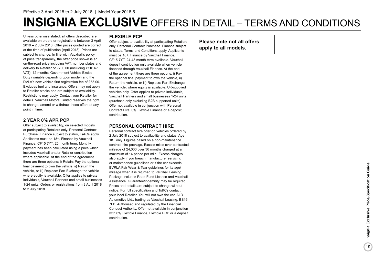# **INSIGNIA EXCLUSIVE** OFFERS IN DETAIL – TERMS AND CONDITIONS

Unless otherwise stated, all offers described are available on orders or registrations between 3 April 2018 – 2 July 2018. Offer prices quoted are correct at the time of publication (April 2018). Prices are subject to change. In line with Vauxhall's policy of price transparency, the offer price shown is an on-the-road price including VAT, number plates and delivery to Retailer of £700.00 (including £116.67 VAT), 12 months' Government Vehicle Excise Duty (variable depending upon model) and the DVLA's new vehicle first registration fee of £55.00. Excludes fuel and insurance. Offers may not apply to Retailer stocks and are subject to availability. Restrictions may apply. Contact your Retailer for details. Vauxhall Motors Limited reserves the right to change, amend or withdraw these offers at any point in time.

### **2 YEAR 0% APR PCP**

Offer subject to availability, on selected models at participating Retailers only. Personal Contract Purchase. Finance subject to status, Ts&Cs apply. Applicants must be 18+. Finance by Vauxhall Finance, CF15 7YT. 25 month term. Monthly payment has been calculated using a price which includes Vauxhall and/or Retailer contribution where applicable. At the end of the agreement there are three options: i) Retain: Pay the optional final payment to own the vehicle, ii) Return the vehicle, or iii) Replace: Part Exchange the vehicle where equity is available. Offer applies to private individuals, Vauxhall Partners and small businesses 1-24 units. Orders or registrations from 3 April 2018 to 2 July 2018.

### **FLEXIBLE PCP**

Offer subject to availability at participating Retailers only. Personal Contract Purchase. Finance subject to status. Terms and Conditions apply. Applicants must be 18+. Finance by Vauxhall Finance, CF15 7YT. 24-48 month term available. Vauxhall deposit contribution only available when vehicle financed through Vauxhall Finance. At the end of the agreement there are three options: i) Pay the optional final payment to own the vehicle, ii) Return the vehicle, or iii) Replace: Part Exchange the vehicle, where equity is available. UK-supplied vehicles only. Offer applies to private individuals, Vauxhall Partners and small businesses 1-24 units (purchase only excluding B2B supported units). Offer not available in conjunction with Personal Contract Hire, 0% Flexible Finance or a deposit contribution.

### **PERSONAL CONTRACT HIRE**

Personal contract hire offer on vehicles ordered by 2 July 2018 subject to availability and status. Age 18+ only. Figures based on a non-maintenance contract hire package. Excess miles over contracted mileage of 24,000 over 36 months charged at a maximum of 14 pence per mile. Excess charges also apply if you breach manufacturer servicing or maintenance guidelines or if the car exceeds BVRLA Fair Wear & Tear guidelines for its age/ mileage when it is returned to Vauxhall Leasing. Package includes Road Fund Licence and Vauxhall Assistance. Guarantee/indemnity may be required. Prices and details are subject to change without notice. For full specification and Ts&Cs contact your local Retailer. You will not own the car. ALD Automotive Ltd., trading as Vauxhall Leasing, BS16 7LB. Authorised and regulated by the Financial Conduct Authority. Offer not available in conjunction with 0% Flexible Finance, Flexible PCP or a deposit contribution.

**Please note not all offers apply to all models.**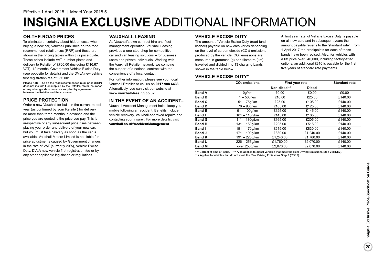# **INSIGNIA EXCLUSIVE** ADDITIONAL INFORMATION

#### **ON-THE-ROAD PRICES**

To eliminate uncertainty about hidden costs when buying a new car, Vauxhall publishes on-the-road recommended retail prices (RRP) and these are shown in the pricing tables within this price guide. These prices include VAT, number plates and delivery to Retailer of £700.00 (including £116.67 VAT), 12 months' Government Vehicle Excise Duty (see opposite for details) and the DVLA new vehicle first registration fee of £55.00\*.

**Please note:** The on-the-road recommended retail price (RRP) does not include fuel supplied by the Retailer, motor insurance or any other goods or services supplied by agreement between the Retailer and the customer.

### **PRICE PROTECTION**

Order a new Vauxhall for build in the current model year (as confirmed by your Retailer) for delivery no more than three months in advance and the price you are quoted is the price you pay. This is irrespective of any subsequent price rises between placing your order and delivery of your new car, but you must take delivery as soon as the car is available. Vauxhall Motors Limited is not liable for price adjustments caused by Government changes in the rate of VAT (currently 20%), Vehicle Excise Duty, DVLA new vehicle first registration fee or by any other applicable legislation or regulations.

### **VAUXHALL LEASING**

As Vauxhall's own contract hire and fleet management operation, Vauxhall Leasing provides a one-stop-shop for competitive car and van leasing solutions – for business users and private individuals. Working with the Vauxhall Retailer network, we combine the support of a national contract with the convenience of a local contact.

For further information, please see your local Vauxhall Retailer or call us on **0117 908 6433.** Alternatively, you can visit our website at **www.vauxhall-leasing.co.uk**

### **IN THE EVENT OF AN ACCIDENT...**

Vauxhall Accident Management helps keep you mobile following an accident. Benefits include vehicle recovery, Vauxhall-approved repairs and contacting your insurer. For more details, visit **vauxhall.co.uk/AccidentManagement**

#### **VEHICLE EXCISE DUTY**

The amount of Vehicle Excise Duty (road fund licence) payable on new cars varies depending on the level of carbon dioxide  $(CO<sub>2</sub>)$  emissions produced by the vehicle.  $CO<sub>2</sub>$  emissions are measured in grammes (g) per kilometre (km) travelled and divided into 13 charging bands shown in the table below.

A 'first year rate' of Vehicle Excise Duty is payable on all new cars and in subsequent years the amount payable reverts to the 'standard rate'. From 1 April 2017 the breakpoints for each of these bands have been revised. Also, for vehicles with a list price over £40,000, including factory-fitted options, an additional £310 is payable for the first five years of standard rate payments.

#### **VEHICLE EXCISE DUTY\***

|               | CO <sub>2</sub> emissions | First year rate | <b>Standard rate</b> |         |
|---------------|---------------------------|-----------------|----------------------|---------|
|               |                           | Non-diesel**    | Diesel <sup>t</sup>  |         |
| <b>Band A</b> | 0q/km                     | £0.00           | £0.00                | £0.00   |
| <b>Band B</b> | $1-50q/km$                | £10.00          | £25.00               | £140.00 |
| <b>Band C</b> | $51 - 75q/km$             | £25.00          | £105.00              | £140.00 |
| <b>Band D</b> | 76 - 90a/km               | £105.00         | £125.00              | £140.00 |
| <b>Band E</b> | $91 - 100q/km$            | £125.00         | £145.00              | £140.00 |
| <b>Band F</b> | $101 - 110q/km$           | £145.00         | £165.00              | £140.00 |
| <b>Band G</b> | $111 - 130q/km$           | £165.00         | £205.00              | £140.00 |
| <b>Band H</b> | $131 - 150a/km$           | £205.00         | £515.00              | £140.00 |
| Band I        | $151 - 170q/km$           | £515.00         | £830.00              | £140.00 |
| <b>Band J</b> | 171 – 190g/km             | £830.00         | £1.240.00            | £140.00 |
| <b>Band K</b> | 191 – 225g/km             | £1.240.00       | £1.760.00            | £140.00 |
| <b>Band L</b> | $226 - 255q/km$           | £1,760.00       | £2.070.00            | £140.00 |
| <b>Band M</b> | over 255q/km              | £2.070.00       | £2,070.00            | £140.00 |

\* = Correct at time of issue. \*\* = Also applies to diesel vehicles that meet the Real Driving Emissions Step 2 (RDE2). † = Applies to vehicles that do not meet the Real Driving Emissions Step 2 (RDE2).